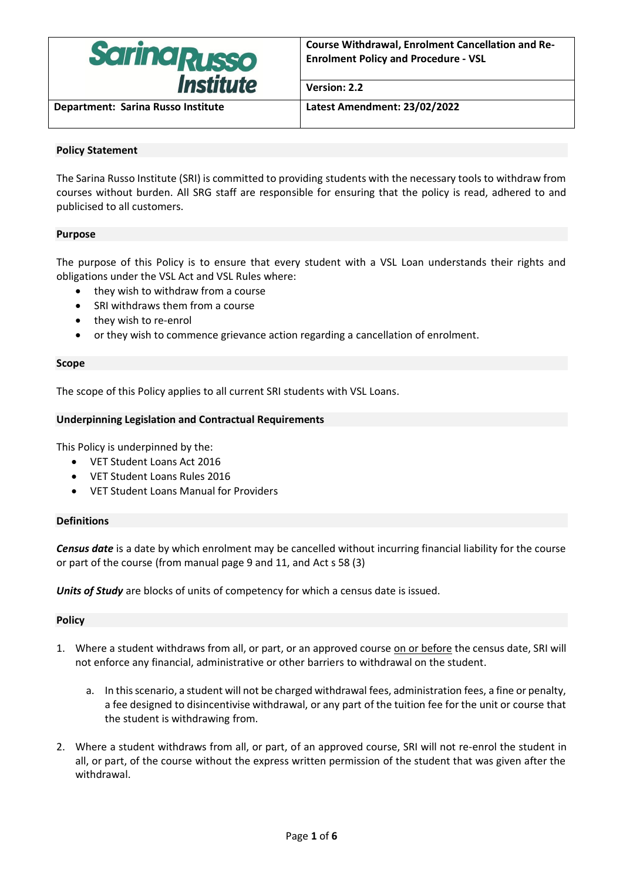

**Version: 2.2**

**Department: Sarina Russo Institute Latest Amendment: 23/02/2022**

# **Policy Statement**

The Sarina Russo Institute (SRI) is committed to providing students with the necessary tools to withdraw from courses without burden. All SRG staff are responsible for ensuring that the policy is read, adhered to and publicised to all customers.

## **Purpose**

The purpose of this Policy is to ensure that every student with a VSL Loan understands their rights and obligations under the VSL Act and VSL Rules where:

- they wish to withdraw from a course
- SRI withdraws them from a course
- they wish to re-enrol
- or they wish to commence grievance action regarding a cancellation of enrolment.

### **Scope**

The scope of this Policy applies to all current SRI students with VSL Loans.

## **Underpinning Legislation and Contractual Requirements**

This Policy is underpinned by the:

- VET Student Loans Act 2016
- VET Student Loans Rules 2016
- VET Student Loans Manual for Providers

## **Definitions**

*Census date* is a date by which enrolment may be cancelled without incurring financial liability for the course or part of the course (from manual page 9 and 11, and Act s 58 (3)

*Units of Study* are blocks of units of competency for which a census date is issued.

#### **Policy**

- 1. Where a student withdraws from all, or part, or an approved course on or before the census date, SRI will not enforce any financial, administrative or other barriers to withdrawal on the student.
	- a. In this scenario, a student will not be charged withdrawal fees, administration fees, a fine or penalty, a fee designed to disincentivise withdrawal, or any part of the tuition fee for the unit or course that the student is withdrawing from.
- 2. Where a student withdraws from all, or part, of an approved course, SRI will not re-enrol the student in all, or part, of the course without the express written permission of the student that was given after the withdrawal.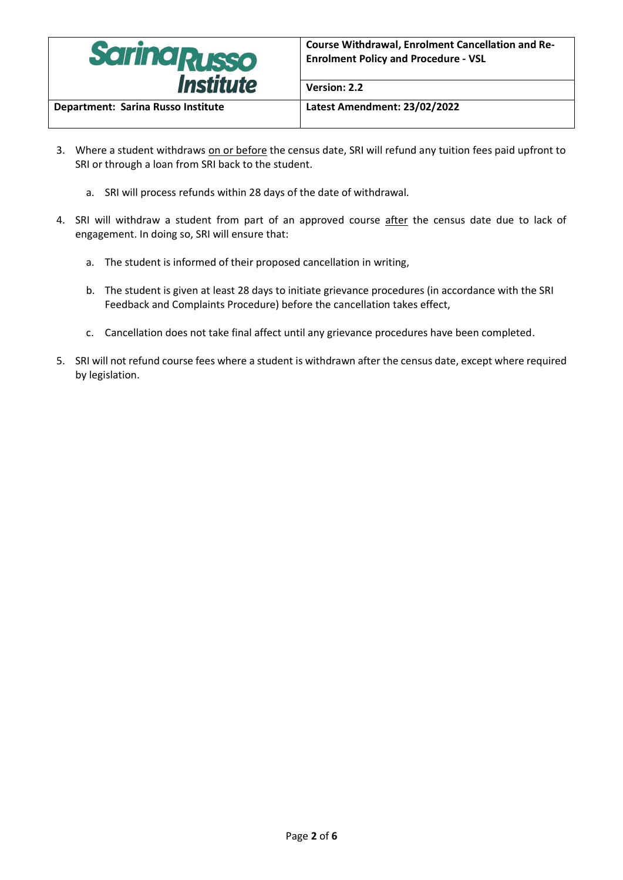

**Department: Sarina Russo Institute Latest Amendment: 23/02/2022**

**Version: 2.2**

- 3. Where a student withdraws on or before the census date, SRI will refund any tuition fees paid upfront to SRI or through a loan from SRI back to the student.
	- a. SRI will process refunds within 28 days of the date of withdrawal.
- 4. SRI will withdraw a student from part of an approved course after the census date due to lack of engagement. In doing so, SRI will ensure that:
	- a. The student is informed of their proposed cancellation in writing,
	- b. The student is given at least 28 days to initiate grievance procedures (in accordance with the SRI Feedback and Complaints Procedure) before the cancellation takes effect,
	- c. Cancellation does not take final affect until any grievance procedures have been completed.
- 5. SRI will not refund course fees where a student is withdrawn after the census date, except where required by legislation.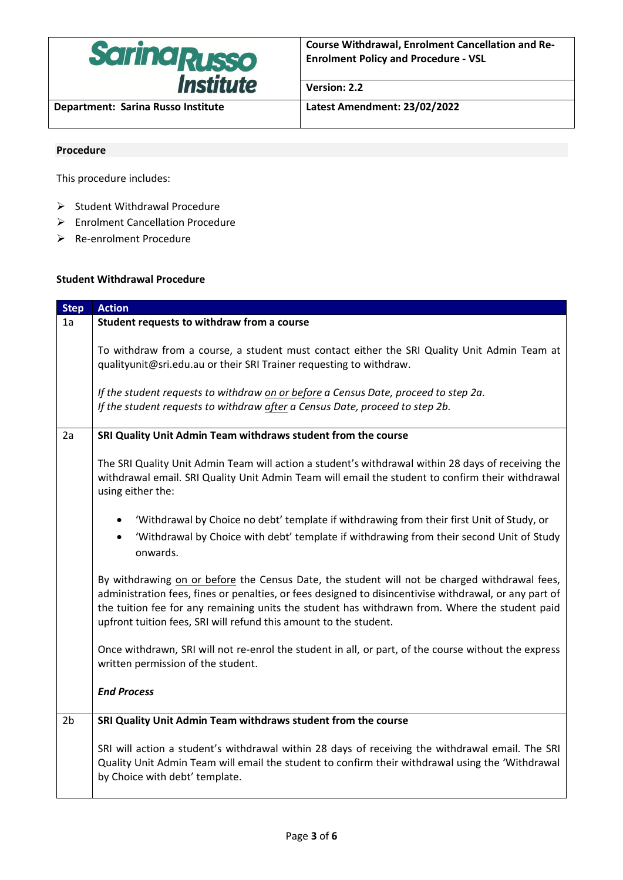

**Department: Sarina Russo Institute Latest Amendment: 23/02/2022**

**Version: 2.2**

### **Procedure**

This procedure includes:

- ➢ Student Withdrawal Procedure
- ➢ Enrolment Cancellation Procedure
- ➢ Re-enrolment Procedure

#### **Student Withdrawal Procedure**

| <b>Step</b>    | <b>Action</b>                                                                                                                                                                                                                                                                                                                                                                  |
|----------------|--------------------------------------------------------------------------------------------------------------------------------------------------------------------------------------------------------------------------------------------------------------------------------------------------------------------------------------------------------------------------------|
| 1a             | Student requests to withdraw from a course                                                                                                                                                                                                                                                                                                                                     |
|                | To withdraw from a course, a student must contact either the SRI Quality Unit Admin Team at<br>qualityunit@sri.edu.au or their SRI Trainer requesting to withdraw.<br>If the student requests to withdraw on or before a Census Date, proceed to step 2a.<br>If the student requests to withdraw after a Census Date, proceed to step 2b.                                      |
| 2a             | SRI Quality Unit Admin Team withdraws student from the course                                                                                                                                                                                                                                                                                                                  |
|                | The SRI Quality Unit Admin Team will action a student's withdrawal within 28 days of receiving the<br>withdrawal email. SRI Quality Unit Admin Team will email the student to confirm their withdrawal<br>using either the:                                                                                                                                                    |
|                | 'Withdrawal by Choice no debt' template if withdrawing from their first Unit of Study, or<br>'Withdrawal by Choice with debt' template if withdrawing from their second Unit of Study<br>$\bullet$<br>onwards.                                                                                                                                                                 |
|                | By withdrawing on or before the Census Date, the student will not be charged withdrawal fees,<br>administration fees, fines or penalties, or fees designed to disincentivise withdrawal, or any part of<br>the tuition fee for any remaining units the student has withdrawn from. Where the student paid<br>upfront tuition fees, SRI will refund this amount to the student. |
|                | Once withdrawn, SRI will not re-enrol the student in all, or part, of the course without the express<br>written permission of the student.                                                                                                                                                                                                                                     |
|                | <b>End Process</b>                                                                                                                                                                                                                                                                                                                                                             |
| 2 <sub>b</sub> | SRI Quality Unit Admin Team withdraws student from the course                                                                                                                                                                                                                                                                                                                  |
|                | SRI will action a student's withdrawal within 28 days of receiving the withdrawal email. The SRI<br>Quality Unit Admin Team will email the student to confirm their withdrawal using the 'Withdrawal<br>by Choice with debt' template.                                                                                                                                         |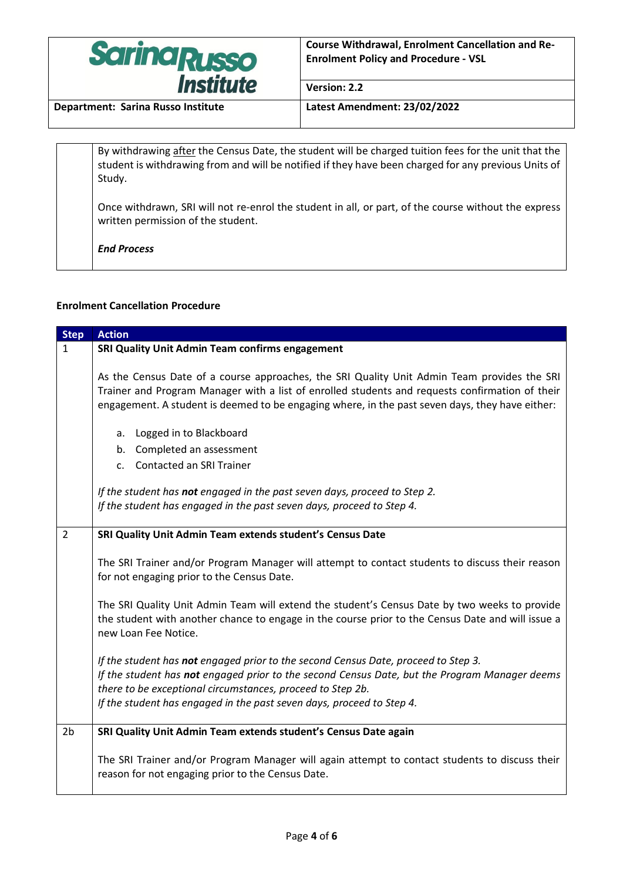

**Version: 2.2**

**Department: Sarina Russo Institute Latest Amendment: 23/02/2022**

By withdrawing after the Census Date, the student will be charged tuition fees for the unit that the student is withdrawing from and will be notified if they have been charged for any previous Units of Study.

Once withdrawn, SRI will not re-enrol the student in all, or part, of the course without the express written permission of the student.

*End Process*

## **Enrolment Cancellation Procedure**

| <b>Step</b>    | <b>Action</b>                                                                                                                                                                                                                                                                                                              |
|----------------|----------------------------------------------------------------------------------------------------------------------------------------------------------------------------------------------------------------------------------------------------------------------------------------------------------------------------|
| $\mathbf{1}$   | SRI Quality Unit Admin Team confirms engagement                                                                                                                                                                                                                                                                            |
|                | As the Census Date of a course approaches, the SRI Quality Unit Admin Team provides the SRI<br>Trainer and Program Manager with a list of enrolled students and requests confirmation of their<br>engagement. A student is deemed to be engaging where, in the past seven days, they have either:                          |
|                | a. Logged in to Blackboard<br>b. Completed an assessment<br>c. Contacted an SRI Trainer                                                                                                                                                                                                                                    |
|                | If the student has not engaged in the past seven days, proceed to Step 2.<br>If the student has engaged in the past seven days, proceed to Step 4.                                                                                                                                                                         |
| $\overline{2}$ | SRI Quality Unit Admin Team extends student's Census Date                                                                                                                                                                                                                                                                  |
|                | The SRI Trainer and/or Program Manager will attempt to contact students to discuss their reason<br>for not engaging prior to the Census Date.                                                                                                                                                                              |
|                | The SRI Quality Unit Admin Team will extend the student's Census Date by two weeks to provide<br>the student with another chance to engage in the course prior to the Census Date and will issue a<br>new Loan Fee Notice.                                                                                                 |
|                | If the student has not engaged prior to the second Census Date, proceed to Step 3.<br>If the student has not engaged prior to the second Census Date, but the Program Manager deems<br>there to be exceptional circumstances, proceed to Step 2b.<br>If the student has engaged in the past seven days, proceed to Step 4. |
| 2 <sub>b</sub> | SRI Quality Unit Admin Team extends student's Census Date again                                                                                                                                                                                                                                                            |
|                | The SRI Trainer and/or Program Manager will again attempt to contact students to discuss their<br>reason for not engaging prior to the Census Date.                                                                                                                                                                        |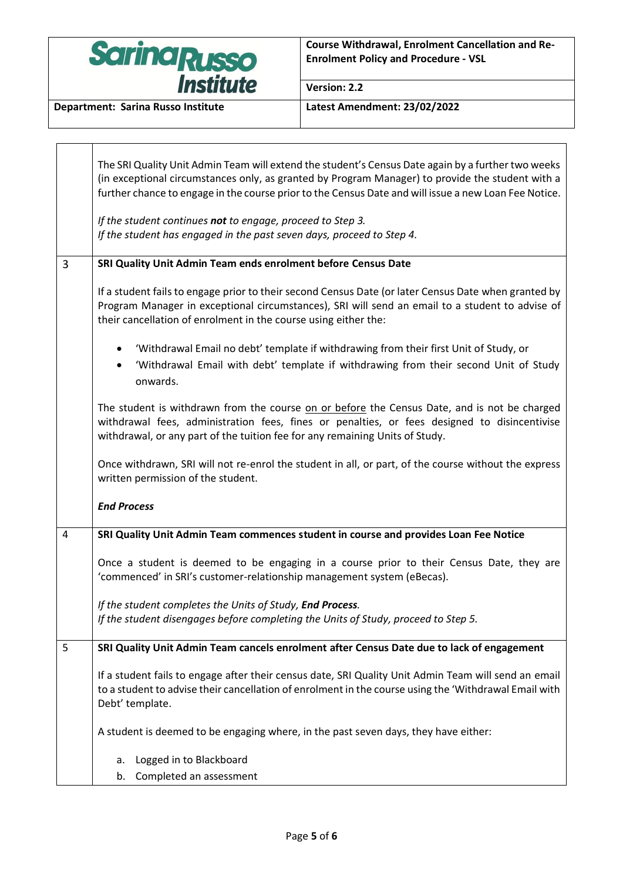

 $\blacksquare$ 

 $\overline{\phantom{a}}$ 

**Version: 2.2**

|                | The SRI Quality Unit Admin Team will extend the student's Census Date again by a further two weeks<br>(in exceptional circumstances only, as granted by Program Manager) to provide the student with a<br>further chance to engage in the course prior to the Census Date and will issue a new Loan Fee Notice. |
|----------------|-----------------------------------------------------------------------------------------------------------------------------------------------------------------------------------------------------------------------------------------------------------------------------------------------------------------|
|                | If the student continues not to engage, proceed to Step 3.<br>If the student has engaged in the past seven days, proceed to Step 4.                                                                                                                                                                             |
| 3              | SRI Quality Unit Admin Team ends enrolment before Census Date                                                                                                                                                                                                                                                   |
|                | If a student fails to engage prior to their second Census Date (or later Census Date when granted by<br>Program Manager in exceptional circumstances), SRI will send an email to a student to advise of<br>their cancellation of enrolment in the course using either the:                                      |
|                | 'Withdrawal Email no debt' template if withdrawing from their first Unit of Study, or<br>'Withdrawal Email with debt' template if withdrawing from their second Unit of Study<br>$\bullet$<br>onwards.                                                                                                          |
|                | The student is withdrawn from the course on or before the Census Date, and is not be charged<br>withdrawal fees, administration fees, fines or penalties, or fees designed to disincentivise<br>withdrawal, or any part of the tuition fee for any remaining Units of Study.                                    |
|                | Once withdrawn, SRI will not re-enrol the student in all, or part, of the course without the express<br>written permission of the student.                                                                                                                                                                      |
|                | <b>End Process</b>                                                                                                                                                                                                                                                                                              |
| $\overline{4}$ | SRI Quality Unit Admin Team commences student in course and provides Loan Fee Notice                                                                                                                                                                                                                            |
|                | Once a student is deemed to be engaging in a course prior to their Census Date, they are<br>'commenced' in SRI's customer-relationship management system (eBecas).                                                                                                                                              |
|                | If the student completes the Units of Study, End Process.<br>If the student disengages before completing the Units of Study, proceed to Step 5.                                                                                                                                                                 |
| 5              | SRI Quality Unit Admin Team cancels enrolment after Census Date due to lack of engagement                                                                                                                                                                                                                       |
|                | If a student fails to engage after their census date, SRI Quality Unit Admin Team will send an email<br>to a student to advise their cancellation of enrolment in the course using the 'Withdrawal Email with<br>Debt' template.                                                                                |
|                | A student is deemed to be engaging where, in the past seven days, they have either:                                                                                                                                                                                                                             |
|                | Logged in to Blackboard<br>a.                                                                                                                                                                                                                                                                                   |
|                | Completed an assessment<br>b.                                                                                                                                                                                                                                                                                   |